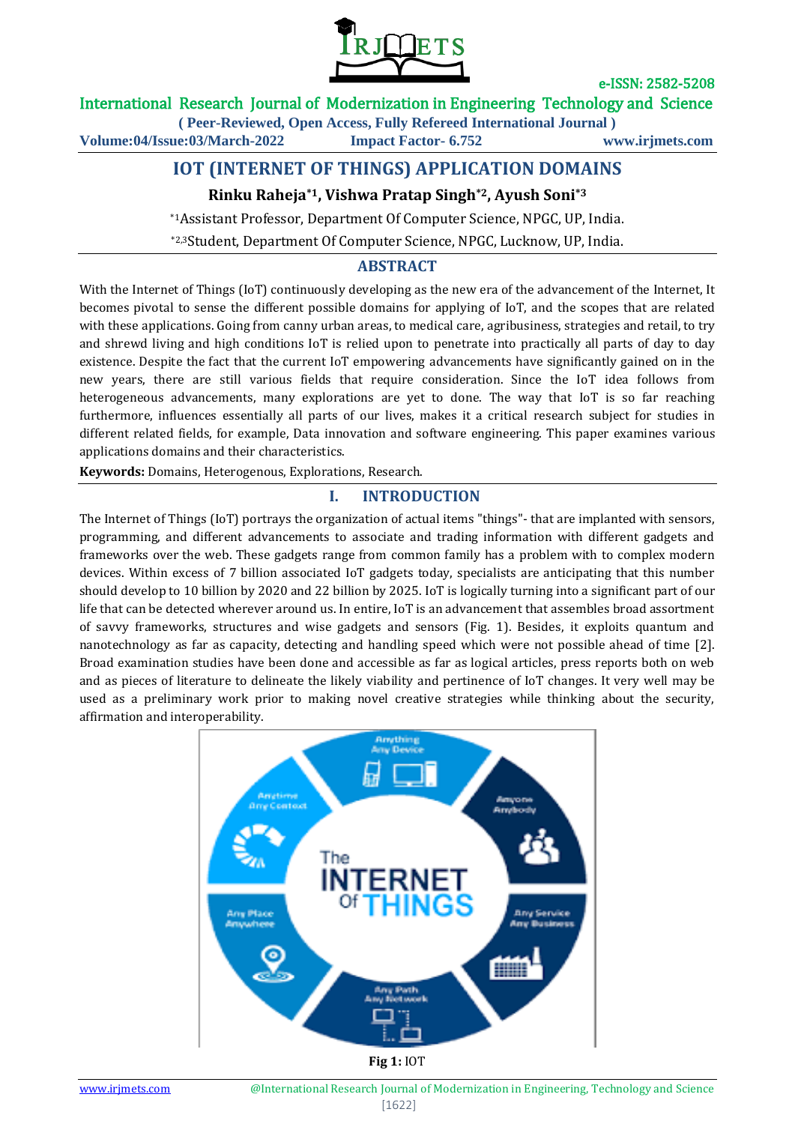

#### International Research Journal of Modernization in Engineering Technology and Science **( Peer-Reviewed, Open Access, Fully Refereed International Journal )**

**Volume:04/Issue:03/March-2022 Impact Factor- 6.752 www.irjmets.com**

# **IOT (INTERNET OF THINGS) APPLICATION DOMAINS**

### **Rinku Raheja\*1, Vishwa Pratap Singh\*2, Ayush Soni\*3**

\*1Assistant Professor, Department Of Computer Science, NPGC, UP, India. \*2,3Student, Department Of Computer Science, NPGC, Lucknow, UP, India.

#### **ABSTRACT**

With the Internet of Things (IoT) continuously developing as the new era of the advancement of the Internet, It becomes pivotal to sense the different possible domains for applying of IoT, and the scopes that are related with these applications. Going from canny urban areas, to medical care, agribusiness, strategies and retail, to try and shrewd living and high conditions IoT is relied upon to penetrate into practically all parts of day to day existence. Despite the fact that the current IoT empowering advancements have significantly gained on in the new years, there are still various fields that require consideration. Since the IoT idea follows from heterogeneous advancements, many explorations are yet to done. The way that IoT is so far reaching furthermore, influences essentially all parts of our lives, makes it a critical research subject for studies in different related fields, for example, Data innovation and software engineering. This paper examines various applications domains and their characteristics.

**Keywords:** Domains, Heterogenous, Explorations, Research.

#### **I. INTRODUCTION**

The Internet of Things (IoT) portrays the organization of actual items "things"- that are implanted with sensors, programming, and different advancements to associate and trading information with different gadgets and frameworks over the web. These gadgets range from common family has a problem with to complex modern devices. Within excess of 7 billion associated IoT gadgets today, specialists are anticipating that this number should develop to 10 billion by 2020 and 22 billion by 2025. IoT is logically turning into a significant part of our life that can be detected wherever around us. In entire, IoT is an advancement that assembles broad assortment of savvy frameworks, structures and wise gadgets and sensors (Fig. 1). Besides, it exploits quantum and nanotechnology as far as capacity, detecting and handling speed which were not possible ahead of time [2]. Broad examination studies have been done and accessible as far as logical articles, press reports both on web and as pieces of literature to delineate the likely viability and pertinence of IoT changes. It very well may be used as a preliminary work prior to making novel creative strategies while thinking about the security, affirmation and interoperability.

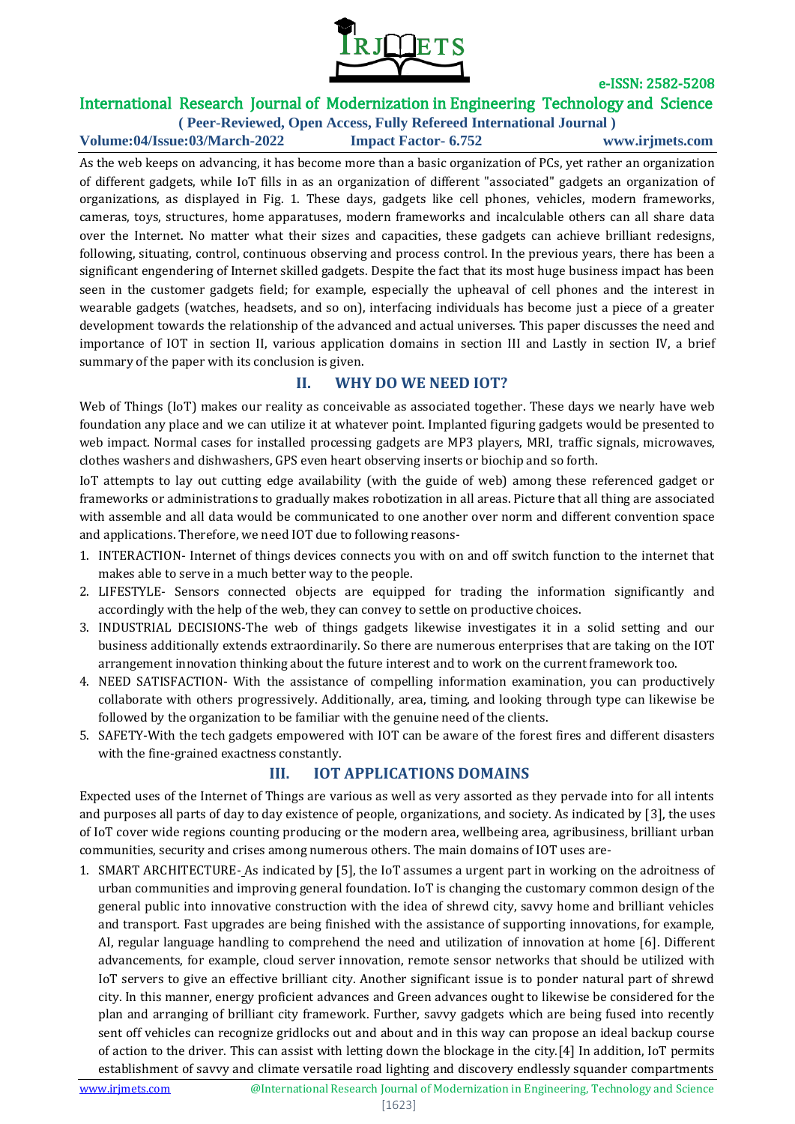

## International Research Journal of Modernization in Engineering Technology and Science

**( Peer-Reviewed, Open Access, Fully Refereed International Journal ) Volume:04/Issue:03/March-2022 Impact Factor- 6.752 www.irjmets.com**

As the web keeps on advancing, it has become more than a basic organization of PCs, yet rather an organization of different gadgets, while IoT fills in as an organization of different "associated" gadgets an organization of organizations, as displayed in Fig. 1. These days, gadgets like cell phones, vehicles, modern frameworks, cameras, toys, structures, home apparatuses, modern frameworks and incalculable others can all share data over the Internet. No matter what their sizes and capacities, these gadgets can achieve brilliant redesigns, following, situating, control, continuous observing and process control. In the previous years, there has been a significant engendering of Internet skilled gadgets. Despite the fact that its most huge business impact has been seen in the customer gadgets field; for example, especially the upheaval of cell phones and the interest in wearable gadgets (watches, headsets, and so on), interfacing individuals has become just a piece of a greater development towards the relationship of the advanced and actual universes. This paper discusses the need and importance of IOT in section II, various application domains in section III and Lastly in section IV, a brief summary of the paper with its conclusion is given.

#### **II. WHY DO WE NEED IOT?**

Web of Things (IoT) makes our reality as conceivable as associated together. These days we nearly have web foundation any place and we can utilize it at whatever point. Implanted figuring gadgets would be presented to web impact. Normal cases for installed processing gadgets are MP3 players, MRI, traffic signals, microwaves, clothes washers and dishwashers, GPS even heart observing inserts or biochip and so forth.

IoT attempts to lay out cutting edge availability (with the guide of web) among these referenced gadget or frameworks or administrations to gradually makes robotization in all areas. Picture that all thing are associated with assemble and all data would be communicated to one another over norm and different convention space and applications. Therefore, we need IOT due to following reasons-

- 1. INTERACTION- Internet of things devices connects you with on and off switch function to the internet that makes able to serve in a much better way to the people.
- 2. LIFESTYLE- Sensors connected objects are equipped for trading the information significantly and accordingly with the help of the web, they can convey to settle on productive choices.
- 3. INDUSTRIAL DECISIONS-The web of things gadgets likewise investigates it in a solid setting and our business additionally extends extraordinarily. So there are numerous enterprises that are taking on the IOT arrangement innovation thinking about the future interest and to work on the current framework too.
- 4. NEED SATISFACTION- With the assistance of compelling information examination, you can productively collaborate with others progressively. Additionally, area, timing, and looking through type can likewise be followed by the organization to be familiar with the genuine need of the clients.
- 5. SAFETY-With the tech gadgets empowered with IOT can be aware of the forest fires and different disasters with the fine-grained exactness constantly.

### **III. IOT APPLICATIONS DOMAINS**

Expected uses of the Internet of Things are various as well as very assorted as they pervade into for all intents and purposes all parts of day to day existence of people, organizations, and society. As indicated by [3], the uses of IoT cover wide regions counting producing or the modern area, wellbeing area, agribusiness, brilliant urban communities, security and crises among numerous others. The main domains of IOT uses are-

1. SMART ARCHITECTURE- As indicated by [5], the IoT assumes a urgent part in working on the adroitness of urban communities and improving general foundation. IoT is changing the customary common design of the general public into innovative construction with the idea of shrewd city, savvy home and brilliant vehicles and transport. Fast upgrades are being finished with the assistance of supporting innovations, for example, AI, regular language handling to comprehend the need and utilization of innovation at home [6]. Different advancements, for example, cloud server innovation, remote sensor networks that should be utilized with IoT servers to give an effective brilliant city. Another significant issue is to ponder natural part of shrewd city. In this manner, energy proficient advances and Green advances ought to likewise be considered for the plan and arranging of brilliant city framework. Further, savvy gadgets which are being fused into recently sent off vehicles can recognize gridlocks out and about and in this way can propose an ideal backup course of action to the driver. This can assist with letting down the blockage in the city.[4] In addition, IoT permits establishment of savvy and climate versatile road lighting and discovery endlessly squander compartments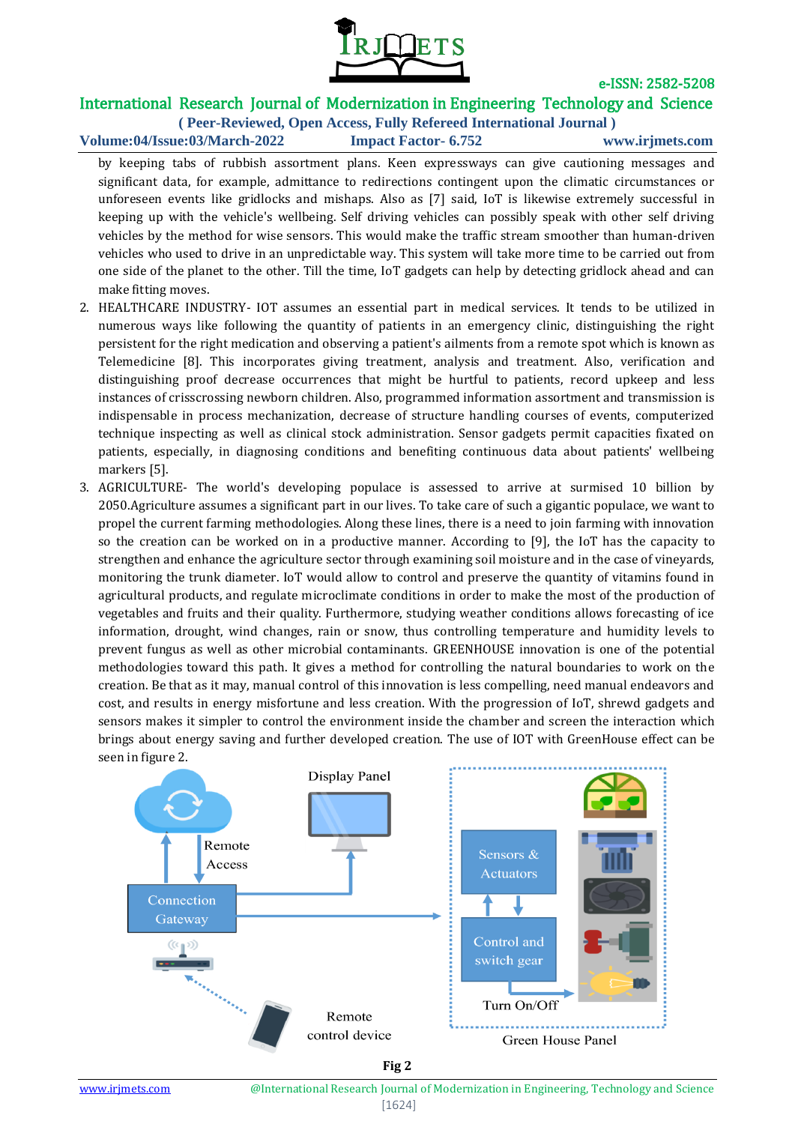

### International Research Journal of Modernization in Engineering Technology and Science

**( Peer-Reviewed, Open Access, Fully Refereed International Journal ) Volume:04/Issue:03/March-2022 Impact Factor- 6.752 www.irjmets.com**

by keeping tabs of rubbish assortment plans. Keen expressways can give cautioning messages and significant data, for example, admittance to redirections contingent upon the climatic circumstances or unforeseen events like gridlocks and mishaps. Also as [7] said, IoT is likewise extremely successful in keeping up with the vehicle's wellbeing. Self driving vehicles can possibly speak with other self driving vehicles by the method for wise sensors. This would make the traffic stream smoother than human-driven vehicles who used to drive in an unpredictable way. This system will take more time to be carried out from one side of the planet to the other. Till the time, IoT gadgets can help by detecting gridlock ahead and can make fitting moves.

- 2. HEALTHCARE INDUSTRY- IOT assumes an essential part in medical services. It tends to be utilized in numerous ways like following the quantity of patients in an emergency clinic, distinguishing the right persistent for the right medication and observing a patient's ailments from a remote spot which is known as Telemedicine [8]. This incorporates giving treatment, analysis and treatment. Also, verification and distinguishing proof decrease occurrences that might be hurtful to patients, record upkeep and less instances of crisscrossing newborn children. Also, programmed information assortment and transmission is indispensable in process mechanization, decrease of structure handling courses of events, computerized technique inspecting as well as clinical stock administration. Sensor gadgets permit capacities fixated on patients, especially, in diagnosing conditions and benefiting continuous data about patients' wellbeing markers [5].
- 3. AGRICULTURE- The world's developing populace is assessed to arrive at surmised 10 billion by 2050.Agriculture assumes a significant part in our lives. To take care of such a gigantic populace, we want to propel the current farming methodologies. Along these lines, there is a need to join farming with innovation so the creation can be worked on in a productive manner. According to [9], the IoT has the capacity to strengthen and enhance the agriculture sector through examining soil moisture and in the case of vineyards, monitoring the trunk diameter. IoT would allow to control and preserve the quantity of vitamins found in agricultural products, and regulate microclimate conditions in order to make the most of the production of vegetables and fruits and their quality. Furthermore, studying weather conditions allows forecasting of ice information, drought, wind changes, rain or snow, thus controlling temperature and humidity levels to prevent fungus as well as other microbial contaminants. GREENHOUSE innovation is one of the potential methodologies toward this path. It gives a method for controlling the natural boundaries to work on the creation. Be that as it may, manual control of this innovation is less compelling, need manual endeavors and cost, and results in energy misfortune and less creation. With the progression of IoT, shrewd gadgets and sensors makes it simpler to control the environment inside the chamber and screen the interaction which brings about energy saving and further developed creation. The use of IOT with GreenHouse effect can be seen in figure 2.



**Fig 2**